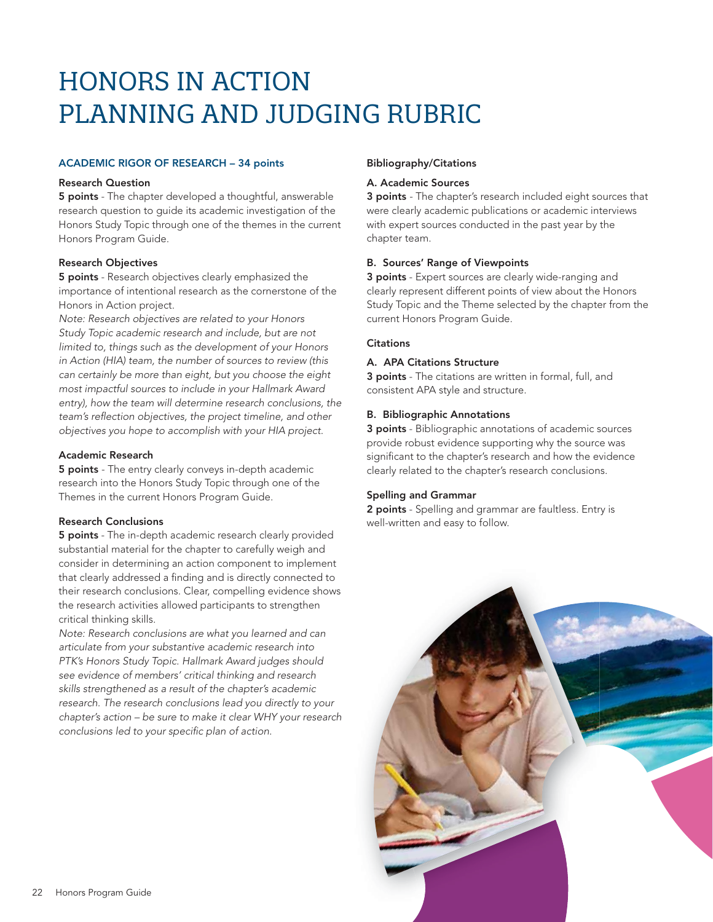# **HONORS IN ACTION PLANNING AND JUDGING RUBRIC**

#### ACADEMIC RIGOR OF RESEARCH – 34 points

#### Research Question

**5 points** - The chapter developed a thoughtful, answerable research question to guide its academic investigation of the Honors Study Topic through one of the themes in the current Honors Program Guide.

# Research Objectives

**5 points** - Research objectives clearly emphasized the importance of intentional research as the cornerstone of the Honors in Action project.

Note: Research objectives are related to your Honors Study Topic academic research and include, but are not limited to, things such as the development of your Honors in Action (HIA) team, the number of sources to review (this can certainly be more than eight, but you choose the eight most impactful sources to include in your Hallmark Award entry), how the team will determine research conclusions, the team's reflection objectives, the project timeline, and other objectives you hope to accomplish with your HIA project.

#### Academic Research

**5 points** - The entry clearly conveys in-depth academic research into the Honors Study Topic through one of the Themes in the current Honors Program Guide.

# Research Conclusions

5 points - The in-depth academic research clearly provided substantial material for the chapter to carefully weigh and consider in determining an action component to implement that clearly addressed a finding and is directly connected to their research conclusions. Clear, compelling evidence shows the research activities allowed participants to strengthen critical thinking skills.

Note: Research conclusions are what you learned and can articulate from your substantive academic research into PTK's Honors Study Topic. Hallmark Award judges should see evidence of members' critical thinking and research skills strengthened as a result of the chapter's academic research. The research conclusions lead you directly to your chapter's action – be sure to make it clear WHY your research conclusions led to your specific plan of action.

## Bibliography/Citations

#### A. Academic Sources

3 points - The chapter's research included eight sources that were clearly academic publications or academic interviews with expert sources conducted in the past year by the chapter team.

# B. Sources' Range of Viewpoints

3 points - Expert sources are clearly wide-ranging and clearly represent different points of view about the Honors Study Topic and the Theme selected by the chapter from the current Honors Program Guide.

#### **Citations**

#### A. APA Citations Structure

3 points - The citations are written in formal, full, and consistent APA style and structure.

#### B. Bibliographic Annotations

3 points - Bibliographic annotations of academic sources provide robust evidence supporting why the source was significant to the chapter's research and how the evidence clearly related to the chapter's research conclusions.

#### Spelling and Grammar

2 points - Spelling and grammar are faultless. Entry is well-written and easy to follow.

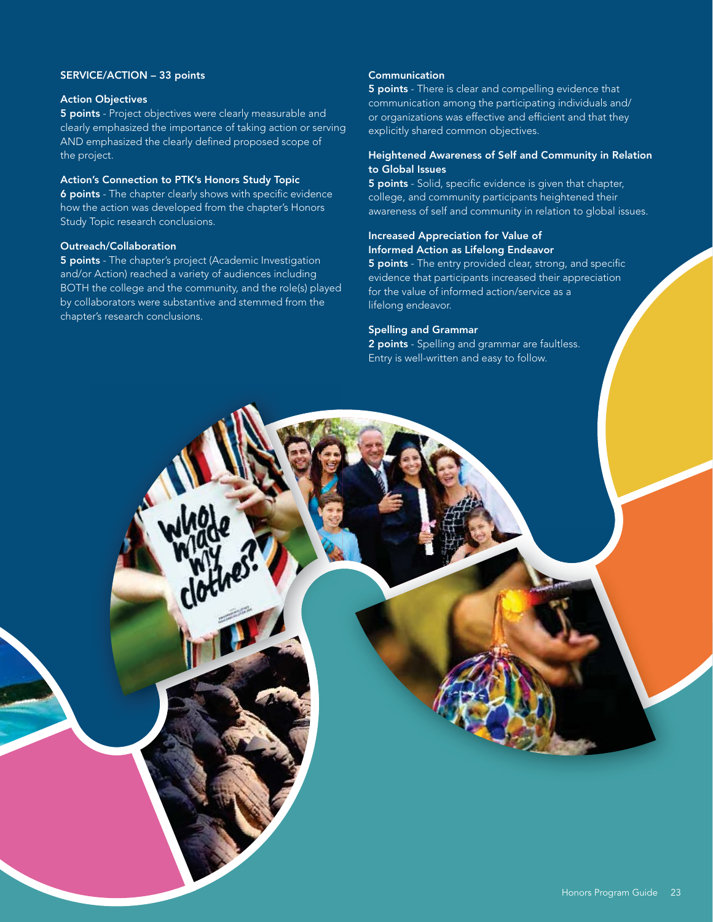# SERVICE/ACTION – 33 points

#### Action Objectives

5 points - Project objectives were clearly measurable and clearly emphasized the importance of taking action or serving AND emphasized the clearly defined proposed scope of the project.

## Action's Connection to PTK's Honors Study Topic

6 points - The chapter clearly shows with specific evidence how the action was developed from the chapter's Honors Study Topic research conclusions.

#### Outreach/Collaboration

5 points - The chapter's project (Academic Investigation and/or Action) reached a variety of audiences including BOTH the college and the community, and the role(s) played by collaborators were substantive and stemmed from the chapter's research conclusions.

#### **Communication**

5 points - There is clear and compelling evidence that communication among the participating individuals and/ or organizations was effective and efficient and that they explicitly shared common objectives.

## Heightened Awareness of Self and Community in Relation to Global Issues

5 points - Solid, specific evidence is given that chapter, college, and community participants heightened their awareness of self and community in relation to global issues.

## Increased Appreciation for Value of Informed Action as Lifelong Endeavor

5 points - The entry provided clear, strong, and specific evidence that participants increased their appreciation for the value of informed action/service as a lifelong endeavor.

#### Spelling and Grammar

2 points - Spelling and grammar are faultless. Entry is well-written and easy to follow.